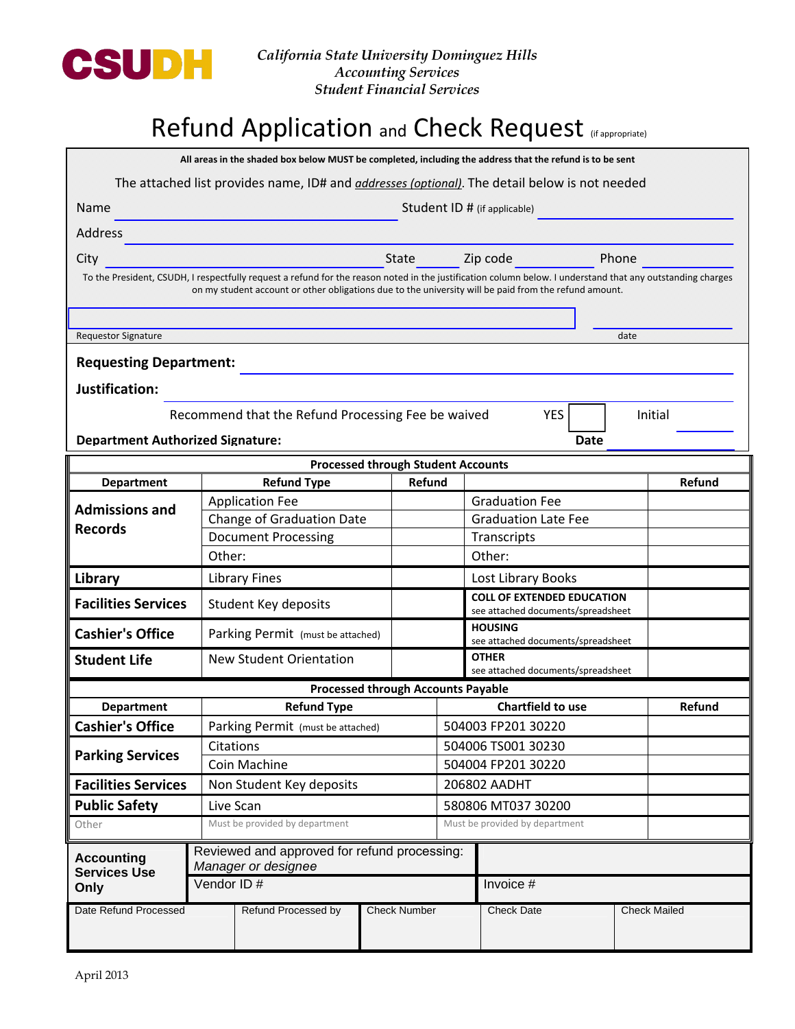

## Refund Application and Check Request (If appropriate)

All areas in the shaded box below MUST be completed, including the address that the refund is to be sent

The attached list provides name, ID# and *addresses (optional)*. The detail below is not needed

| Name                                                                                                  | Student ID # (if applicable)                                                                                                                               |                                   |                          |                                                                                                                 |  |         |        |
|-------------------------------------------------------------------------------------------------------|------------------------------------------------------------------------------------------------------------------------------------------------------------|-----------------------------------|--------------------------|-----------------------------------------------------------------------------------------------------------------|--|---------|--------|
| Address                                                                                               |                                                                                                                                                            |                                   |                          |                                                                                                                 |  |         |        |
| City                                                                                                  |                                                                                                                                                            | State                             |                          | Zip code and the state of the state of the state of the state of the state of the state of the state of the sta |  | Phone   |        |
|                                                                                                       | To the President, CSUDH, I respectfully request a refund for the reason noted in the justification column below. I understand that any outstanding charges |                                   |                          |                                                                                                                 |  |         |        |
| on my student account or other obligations due to the university will be paid from the refund amount. |                                                                                                                                                            |                                   |                          |                                                                                                                 |  |         |        |
|                                                                                                       |                                                                                                                                                            |                                   |                          |                                                                                                                 |  |         |        |
| date<br><b>Requestor Signature</b>                                                                    |                                                                                                                                                            |                                   |                          |                                                                                                                 |  |         |        |
| <b>Requesting Department:</b>                                                                         |                                                                                                                                                            |                                   |                          |                                                                                                                 |  |         |        |
| Justification:                                                                                        |                                                                                                                                                            |                                   |                          |                                                                                                                 |  |         |        |
| Recommend that the Refund Processing Fee be waived<br><b>YES</b>                                      |                                                                                                                                                            |                                   |                          |                                                                                                                 |  | Initial |        |
| <b>Department Authorized Signature:</b><br><b>Date</b>                                                |                                                                                                                                                            |                                   |                          |                                                                                                                 |  |         |        |
| <b>Processed through Student Accounts</b>                                                             |                                                                                                                                                            |                                   |                          |                                                                                                                 |  |         |        |
| <b>Department</b>                                                                                     | <b>Refund Type</b>                                                                                                                                         | Refund                            |                          |                                                                                                                 |  |         | Refund |
| <b>Admissions and</b><br><b>Records</b>                                                               | <b>Application Fee</b>                                                                                                                                     |                                   |                          | <b>Graduation Fee</b>                                                                                           |  |         |        |
|                                                                                                       | Change of Graduation Date                                                                                                                                  |                                   |                          | <b>Graduation Late Fee</b>                                                                                      |  |         |        |
|                                                                                                       | <b>Document Processing</b>                                                                                                                                 |                                   |                          | Transcripts                                                                                                     |  |         |        |
|                                                                                                       | Other:                                                                                                                                                     |                                   |                          | Other:                                                                                                          |  |         |        |
| Library                                                                                               | <b>Library Fines</b>                                                                                                                                       |                                   |                          | Lost Library Books                                                                                              |  |         |        |
| <b>Facilities Services</b>                                                                            | Student Key deposits                                                                                                                                       |                                   |                          | <b>COLL OF EXTENDED EDUCATION</b><br>see attached documents/spreadsheet                                         |  |         |        |
| <b>Cashier's Office</b>                                                                               |                                                                                                                                                            | Parking Permit (must be attached) |                          | <b>HOUSING</b><br>see attached documents/spreadsheet                                                            |  |         |        |
| <b>Student Life</b>                                                                                   | <b>New Student Orientation</b>                                                                                                                             |                                   |                          | <b>OTHER</b><br>see attached documents/spreadsheet                                                              |  |         |        |
| <b>Processed through Accounts Payable</b>                                                             |                                                                                                                                                            |                                   |                          |                                                                                                                 |  |         |        |
| <b>Department</b>                                                                                     | <b>Refund Type</b>                                                                                                                                         |                                   | <b>Chartfield to use</b> |                                                                                                                 |  |         | Refund |
| <b>Cashier's Office</b>                                                                               | Parking Permit (must be attached)                                                                                                                          |                                   | 504003 FP201 30220       |                                                                                                                 |  |         |        |
| <b>Parking Services</b>                                                                               | Citations                                                                                                                                                  | 504006 TS001 30230                |                          |                                                                                                                 |  |         |        |
|                                                                                                       | Coin Machine                                                                                                                                               |                                   | 504004 FP201 30220       |                                                                                                                 |  |         |        |
| <b>Facilities Services</b>                                                                            | Non Student Key deposits                                                                                                                                   |                                   |                          | 206802 AADHT                                                                                                    |  |         |        |
| <b>Public Safety</b>                                                                                  | Live Scan                                                                                                                                                  |                                   | 580806 MT037 30200       |                                                                                                                 |  |         |        |
| Other                                                                                                 | Must be provided by department                                                                                                                             |                                   |                          | Must be provided by department                                                                                  |  |         |        |
| <b>Accounting</b><br><b>Services Use</b><br>Only                                                      | Reviewed and approved for refund processing:<br>Manager or designee                                                                                        |                                   |                          |                                                                                                                 |  |         |        |
|                                                                                                       | Vendor ID#                                                                                                                                                 |                                   |                          | Invoice #                                                                                                       |  |         |        |
| Date Refund Processed                                                                                 | Refund Processed by                                                                                                                                        | <b>Check Number</b>               |                          | <b>Check Date</b><br><b>Check Mailed</b>                                                                        |  |         |        |
|                                                                                                       |                                                                                                                                                            |                                   |                          |                                                                                                                 |  |         |        |